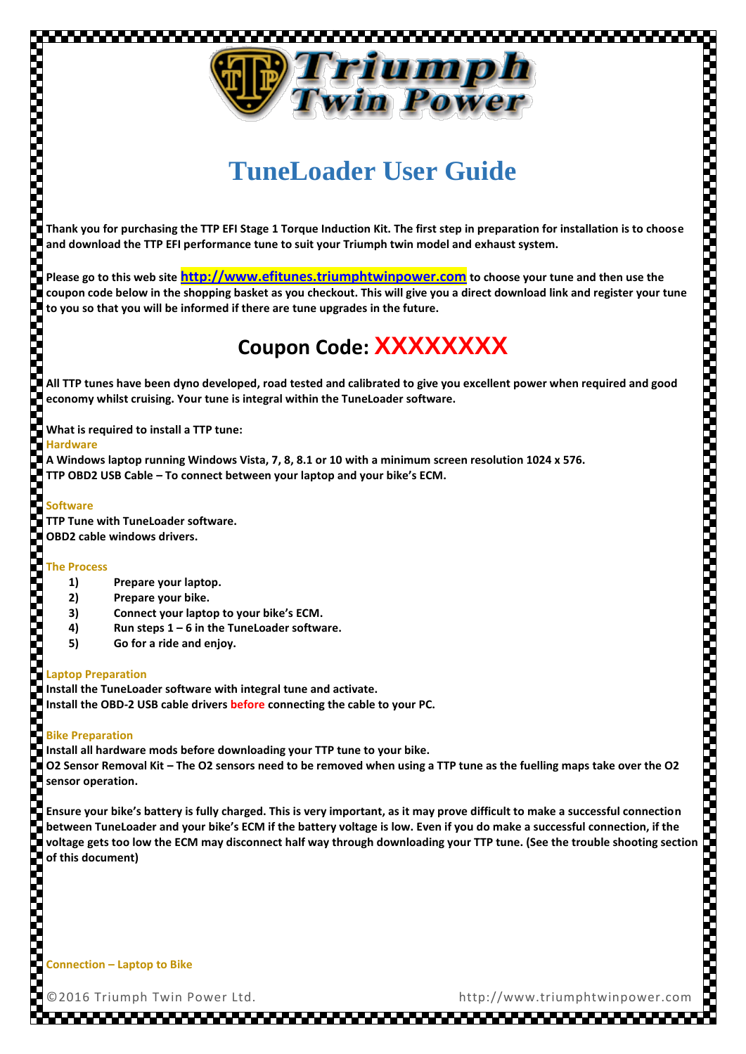

# **TuneLoader User Guide**

**Thank you for purchasing the TTP EFI Stage 1 Torque Induction Kit. The first step in preparation for installation is to choose and download the TTP EFI performance tune to suit your Triumph twin model and exhaust system.**

**Please go to this web site [http://www.efitunes.triumphtwinpower.com](http://www.efitunes.triumphtwinpower.com/) to choose your tune and then use the coupon code below in the shopping basket as you checkout. This will give you a direct download link and register your tune to you so that you will be informed if there are tune upgrades in the future.**

## **Coupon Code: XXXXXXXX**

**All TTP tunes have been dyno developed, road tested and calibrated to give you excellent power when required and good economy whilst cruising. Your tune is integral within the TuneLoader software.**

**What is required to install a TTP tune:**

#### **Hardware**

**A Windows laptop running Windows Vista, 7, 8, 8.1 or 10 with a minimum screen resolution 1024 x 576. TTP OBD2 USB Cable – To connect between your laptop and your bike's ECM.**

#### **Software**

**TTP Tune with TuneLoader software. OBD2 cable windows drivers.**

## **The Process**

- **1) Prepare your laptop.**
- **2) Prepare your bike.**
- **3) Connect your laptop to your bike's ECM.**
- **4) Run steps 1 – 6 in the TuneLoader software.**
- **5) Go for a ride and enjoy.**

## **Laptop Preparation**

**Install the TuneLoader software with integral tune and activate. Install the OBD-2 USB cable drivers before connecting the cable to your PC.** 

## **Bike Preparation**

**Install all hardware mods before downloading your TTP tune to your bike. O2 Sensor Removal Kit – The O2 sensors need to be removed when using a TTP tune as the fuelling maps take over the O2 sensor operation.** 

R **Ensure your bike's battery is fully charged. This is very important, as it may prove difficult to make a successful connection between TuneLoader and your bike's ECM if the battery voltage is low. Even if you do make a successful connection, if the voltage gets too low the ECM may disconnect half way through downloading your TTP tune. (See the trouble shooting section of this document)**

**Connection – Laptop to Bike**

©2016 Triumph Twin Power Ltd. http://www.triumphtwinpower.com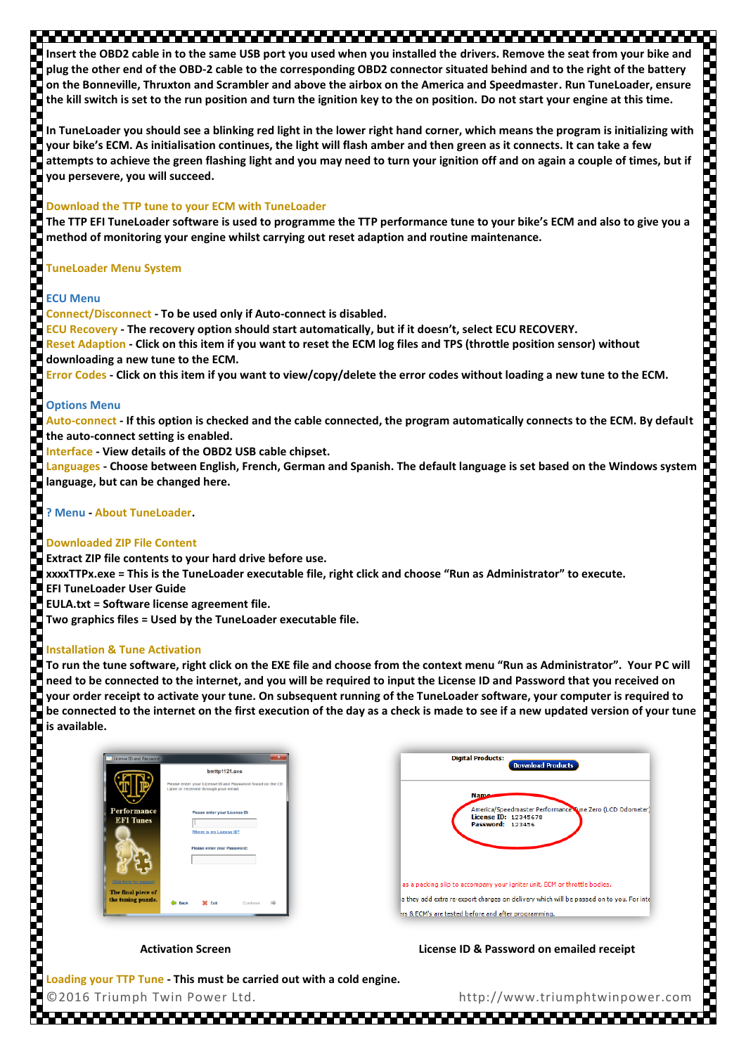## 

**Insert the OBD2 cable in to the same USB port you used when you installed the drivers. Remove the seat from your bike and plug the other end of the OBD-2 cable to the corresponding OBD2 connector situated behind and to the right of the battery on the Bonneville, Thruxton and Scrambler and above the airbox on the America and Speedmaster. Run TuneLoader, ensure the kill switch is set to the run position and turn the ignition key to the on position. Do not start your engine at this time.**

**In TuneLoader you should see a blinking red light in the lower right hand corner, which means the program is initializing with your bike's ECM. As initialisation continues, the light will flash amber and then green as it connects. It can take a few attempts to achieve the green flashing light and you may need to turn your ignition off and on again a couple of times, but if you persevere, you will succeed.**

## **Download the TTP tune to your ECM with TuneLoader**

**The TTP EFI TuneLoader software is used to programme the TTP performance tune to your bike's ECM and also to give you a method of monitoring your engine whilst carrying out reset adaption and routine maintenance.**

## **TuneLoader Menu System**

## **ECU Menu**

Š

**Proposition of the contract of the contract of the contract of the contract of the contract of the contract of** 

**Connect/Disconnect - To be used only if Auto-connect is disabled. ECU Recovery - The recovery option should start automatically, but if it doesn't, select ECU RECOVERY. Reset Adaption - Click on this item if you want to reset the ECM log files and TPS (throttle position sensor) without downloading a new tune to the ECM.**

**Error Codes - Click on this item if you want to view/copy/delete the error codes without loading a new tune to the ECM.**

## Ş **Options Menu**

**Auto-connect - If this option is checked and the cable connected, the program automatically connects to the ECM. By default the auto-connect setting is enabled.**

**Interface - View details of the OBD2 USB cable chipset.**

**Languages - Choose between English, French, German and Spanish. The default language is set based on the Windows system language, but can be changed here.**

**? Menu - About TuneLoader.**

## **Downloaded ZIP File Content**

Š **Extract ZIP file contents to your hard drive before use. xxxxTTPx.exe = This is the TuneLoader executable file, right click and choose "Run as Administrator" to execute. EFI TuneLoader User Guide EULA.txt = Software license agreement file.** 

**Two graphics files = Used by the TuneLoader executable file.**

## **Installation & Tune Activation**

**To run the tune software, right click on the EXE file and choose from the context menu "Run as Administrator". Your PC will need to be connected to the internet, and you will be required to input the License ID and Password that you received on your order receipt to activate your tune. On subsequent running of the TuneLoader software, your computer is required to be connected to the internet on the first execution of the day as a check is made to see if a new updated version of your tune is available.**



~~~~~~~~~~~~~~~~~~~~~~~~~~

Activation Screen **License ID & Password on emailed receipt** 

©2016 Triumph Twin Power Ltd. http://www.triumphtwinpower.com **Loading your TTP Tune - This must be carried out with a cold engine.**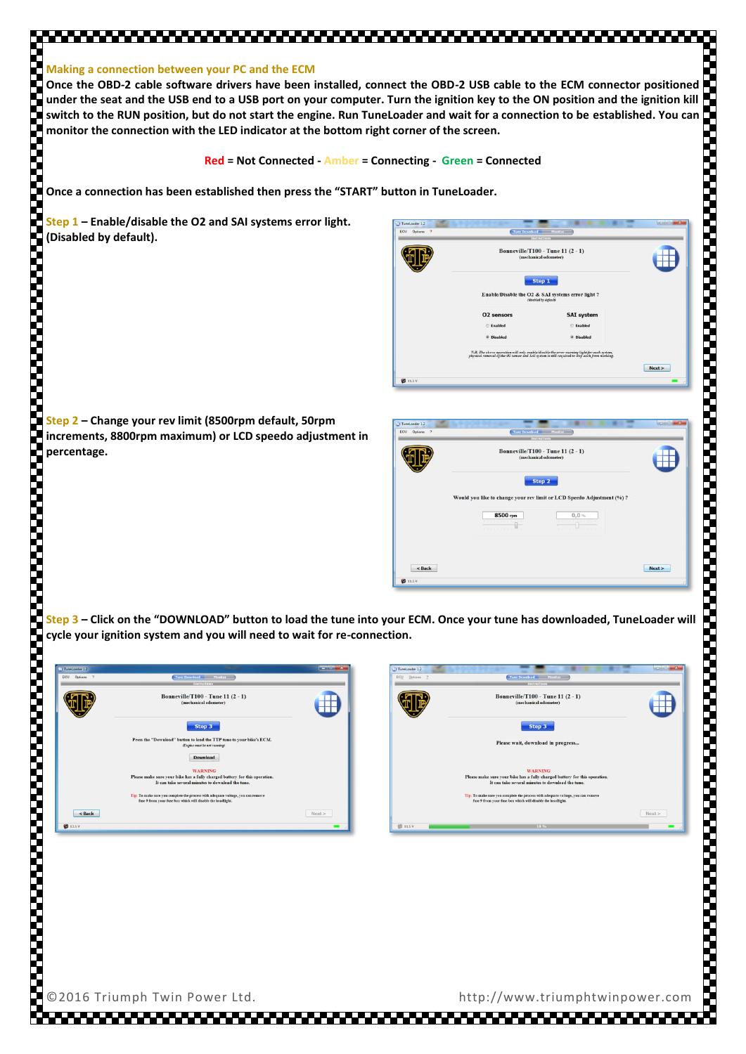#### **Making a connection between your PC and the ECM**

**Once the OBD-2 cable software drivers have been installed, connect the OBD-2 USB cable to the ECM connector positioned under the seat and the USB end to a USB port on your computer. Turn the ignition key to the ON position and the ignition kill switch to the RUN position, but do not start the engine. Run TuneLoader and wait for a connection to be established. You can monitor the connection with the LED indicator at the bottom right corner of the screen.**

**Red = Not Connected - Amber = Connecting - Green = Connected**

**Once a connection has been established then press the "START" button in TuneLoader.**

**Step 1 – Enable/disable the O2 and SAI systems error light. (Disabled by default).**



**Step 2 – Change your rev limit (8500rpm default, 50rpm increments, 8800rpm maximum) or LCD speedo adjustment in percentage.**

| ECU Options 7                | Tune Download Monitor<br>Instructions                                                                                                               |        |
|------------------------------|-----------------------------------------------------------------------------------------------------------------------------------------------------|--------|
|                              | <b>Bonneville/T100 - Tune 11 (2 - 1)</b><br>(mechanical odometer)                                                                                   |        |
|                              | Step 2<br>Would you like to change your rev limit or LCD Speedo Adjustment (%) ?<br>8500 rpm<br>$0,0,$ %<br><b>DESCRIPTION AND</b><br>$\frac{1}{2}$ |        |
| $<$ Back<br><b>V2</b> 11.5 V |                                                                                                                                                     | Next > |

**Step 3 – Click on the "DOWNLOAD" button to load the tune into your ECM. Once your tune has downloaded, TuneLoader will cycle your ignition system and you will need to wait for re-connection.**

| Ill TuneLoader 1.2 |                                                                                                                                                 | <b>NEWSFILM OF</b> |
|--------------------|-------------------------------------------------------------------------------------------------------------------------------------------------|--------------------|
| ECU<br>Options 7   | Tune Download Monitor                                                                                                                           |                    |
|                    | Instructions                                                                                                                                    |                    |
|                    | <b>Bonneville/T100 - Tune 11 (2 - 1)</b><br>(mechanical odometer)                                                                               |                    |
|                    | Step 3<br>Press the "Download" button to load the TTP tune to your bike's ECM.<br>(Engine must be not running)                                  |                    |
|                    | Download                                                                                                                                        |                    |
|                    | <b>WARNING</b>                                                                                                                                  |                    |
|                    | Please make sure your bike has a fully charged battery for this operation.                                                                      |                    |
|                    | It can take several minutes to download the tune.                                                                                               |                    |
|                    | Tip: To make sure you complete the process with adequate voltage, you can remove<br>fuse 9 from your fuse box which will disable the headlight. |                    |
| $<$ Back           |                                                                                                                                                 | Next >             |
| <b>KS</b> 13.5 V   |                                                                                                                                                 |                    |

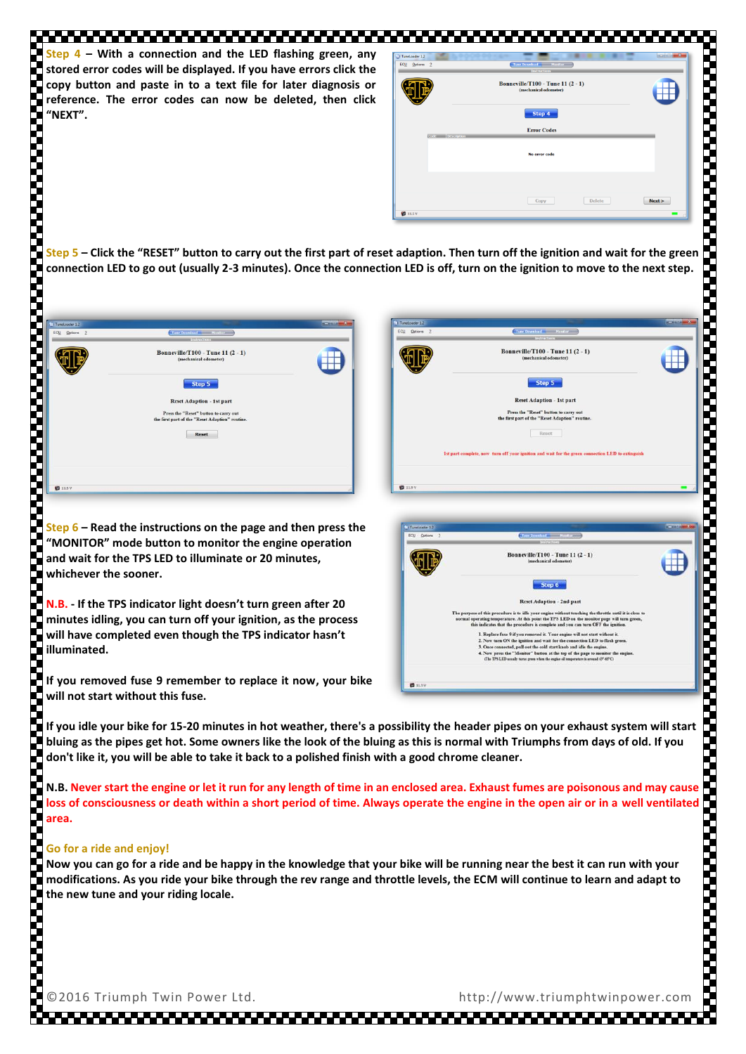**Step 4 – With a connection and the LED flashing green, any stored error codes will be displayed. If you have errors click the copy button and paste in to a text file for later diagnosis or reference. The error codes can now be deleted, then click "NEXT".**

| ECU Options 2    | Tune Download Monitor<br>Instructions                             |        |
|------------------|-------------------------------------------------------------------|--------|
|                  | <b>Bonneville/T100 - Tune 11 (2 - 1)</b><br>(mechanical odometer) |        |
|                  | Step 4                                                            |        |
| Code Description | <b>Error Codes</b>                                                |        |
|                  | No error code                                                     |        |
|                  |                                                                   |        |
|                  | <b>Delete</b><br>Copy                                             | Next > |

**Step 5 – Click the "RESET" button to carry out the first part of reset adaption. Then turn off the ignition and wait for the green connection LED to go out (usually 2-3 minutes). Once the connection LED is off, turn on the ignition to move to the next step.**



**Step 6 – Read the instructions on the page and then press the "MONITOR" mode button to monitor the engine operation and wait for the TPS LED to illuminate or 20 minutes, whichever the sooner.**

**N.B. - If the TPS indicator light doesn't turn green after 20 minutes idling, you can turn off your ignition, as the process will have completed even though the TPS indicator hasn't illuminated.**

**If you removed fuse 9 remember to replace it now, your bike will not start without this fuse.**

**If you idle your bike for 15-20 minutes in hot weather, there's a possibility the header pipes on your exhaust system will start bluing as the pipes get hot. Some owners like the look of the bluing as this is normal with Triumphs from days of old. If you don't like it, you will be able to take it back to a polished finish with a good chrome cleaner.**

**N.B. Never start the engine or let it run for any length of time in an enclosed area. Exhaust fumes are poisonous and may cause loss of consciousness or death within a short period of time. Always operate the engine in the open air or in a well ventilated area.**

# e<br>S **Go for a ride and enjoy!**

**Now you can go for a ride and be happy in the knowledge that your bike will be running near the best it can run with your modifications. As you ride your bike through the rev range and throttle levels, the ECM will continue to learn and adapt to the new tune and your riding locale.**

©2016 Triumph Twin Power Ltd. http://www.triumphtwinpower.com